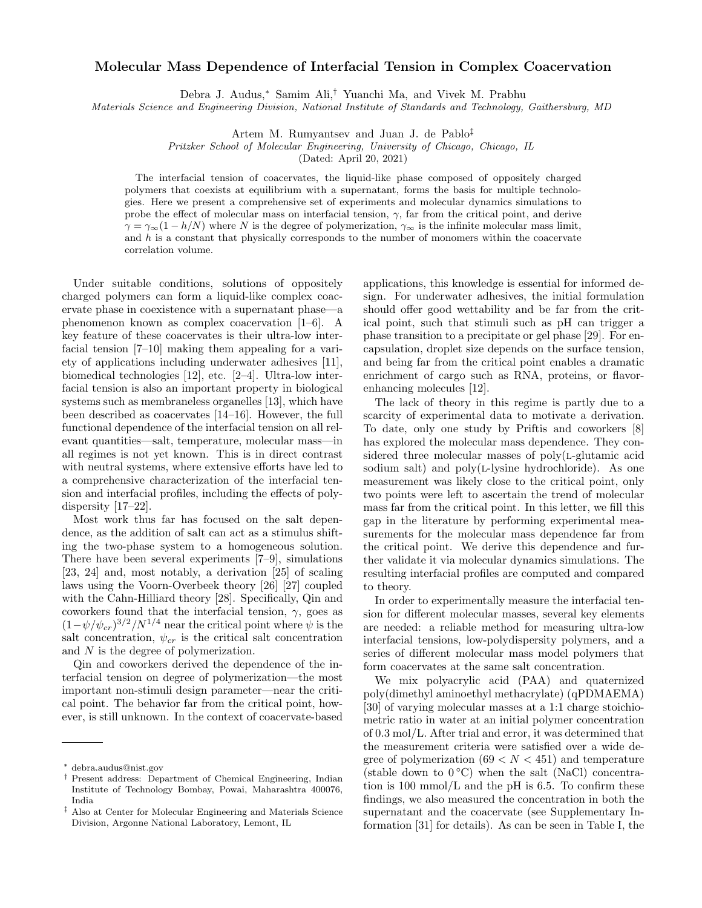## Molecular Mass Dependence of Interfacial Tension in Complex Coacervation

Debra J. Audus,<sup>∗</sup> Samim Ali,† Yuanchi Ma, and Vivek M. Prabhu

Materials Science and Engineering Division, National Institute of Standards and Technology, Gaithersburg, MD

Artem M. Rumyantsev and Juan J. de Pablo‡

Pritzker School of Molecular Engineering, University of Chicago, Chicago, IL

(Dated: April 20, 2021)

The interfacial tension of coacervates, the liquid-like phase composed of oppositely charged polymers that coexists at equilibrium with a supernatant, forms the basis for multiple technologies. Here we present a comprehensive set of experiments and molecular dynamics simulations to probe the effect of molecular mass on interfacial tension,  $\gamma$ , far from the critical point, and derive  $\gamma = \gamma_\infty(1 - h/N)$  where N is the degree of polymerization,  $\gamma_\infty$  is the infinite molecular mass limit, and  $h$  is a constant that physically corresponds to the number of monomers within the coacervate correlation volume.

Under suitable conditions, solutions of oppositely charged polymers can form a liquid-like complex coacervate phase in coexistence with a supernatant phase—a phenomenon known as complex coacervation [1–6]. A key feature of these coacervates is their ultra-low interfacial tension [7–10] making them appealing for a variety of applications including underwater adhesives [11], biomedical technologies [12], etc. [2–4]. Ultra-low interfacial tension is also an important property in biological systems such as membraneless organelles [13], which have been described as coacervates [14–16]. However, the full functional dependence of the interfacial tension on all relevant quantities—salt, temperature, molecular mass—in all regimes is not yet known. This is in direct contrast with neutral systems, where extensive efforts have led to a comprehensive characterization of the interfacial tension and interfacial profiles, including the effects of polydispersity [17–22].

Most work thus far has focused on the salt dependence, as the addition of salt can act as a stimulus shifting the two-phase system to a homogeneous solution. There have been several experiments [7–9], simulations [23, 24] and, most notably, a derivation [25] of scaling laws using the Voorn-Overbeek theory [26] [27] coupled with the Cahn-Hilliard theory [28]. Specifically, Qin and coworkers found that the interfacial tension,  $\gamma$ , goes as  $(1-\psi/\psi_{cr})^{3/2}/N^{1/4}$  near the critical point where  $\psi$  is the salt concentration,  $\psi_{cr}$  is the critical salt concentration and N is the degree of polymerization.

Qin and coworkers derived the dependence of the interfacial tension on degree of polymerization—the most important non-stimuli design parameter—near the critical point. The behavior far from the critical point, however, is still unknown. In the context of coacervate-based

applications, this knowledge is essential for informed design. For underwater adhesives, the initial formulation should offer good wettability and be far from the critical point, such that stimuli such as pH can trigger a phase transition to a precipitate or gel phase [29]. For encapsulation, droplet size depends on the surface tension, and being far from the critical point enables a dramatic enrichment of cargo such as RNA, proteins, or flavorenhancing molecules [12].

The lack of theory in this regime is partly due to a scarcity of experimental data to motivate a derivation. To date, only one study by Priftis and coworkers [8] has explored the molecular mass dependence. They considered three molecular masses of poly(L-glutamic acid sodium salt) and  $poly(L-lysine hydrochloride)$ . As one measurement was likely close to the critical point, only two points were left to ascertain the trend of molecular mass far from the critical point. In this letter, we fill this gap in the literature by performing experimental measurements for the molecular mass dependence far from the critical point. We derive this dependence and further validate it via molecular dynamics simulations. The resulting interfacial profiles are computed and compared to theory.

In order to experimentally measure the interfacial tension for different molecular masses, several key elements are needed: a reliable method for measuring ultra-low interfacial tensions, low-polydispersity polymers, and a series of different molecular mass model polymers that form coacervates at the same salt concentration.

We mix polyacrylic acid (PAA) and quaternized poly(dimethyl aminoethyl methacrylate) (qPDMAEMA) [30] of varying molecular masses at a 1:1 charge stoichiometric ratio in water at an initial polymer concentration of 0.3 mol/L. After trial and error, it was determined that the measurement criteria were satisfied over a wide degree of polymerization  $(69 < N < 451)$  and temperature (stable down to  $0^{\circ}$ C) when the salt (NaCl) concentration is 100 mmol/L and the pH is 6.5. To confirm these findings, we also measured the concentration in both the supernatant and the coacervate (see Supplementary Information [31] for details). As can be seen in Table I, the

<sup>∗</sup> debra.audus@nist.gov

<sup>†</sup> Present address: Department of Chemical Engineering, Indian Institute of Technology Bombay, Powai, Maharashtra 400076, India

<sup>‡</sup> Also at Center for Molecular Engineering and Materials Science Division, Argonne National Laboratory, Lemont, IL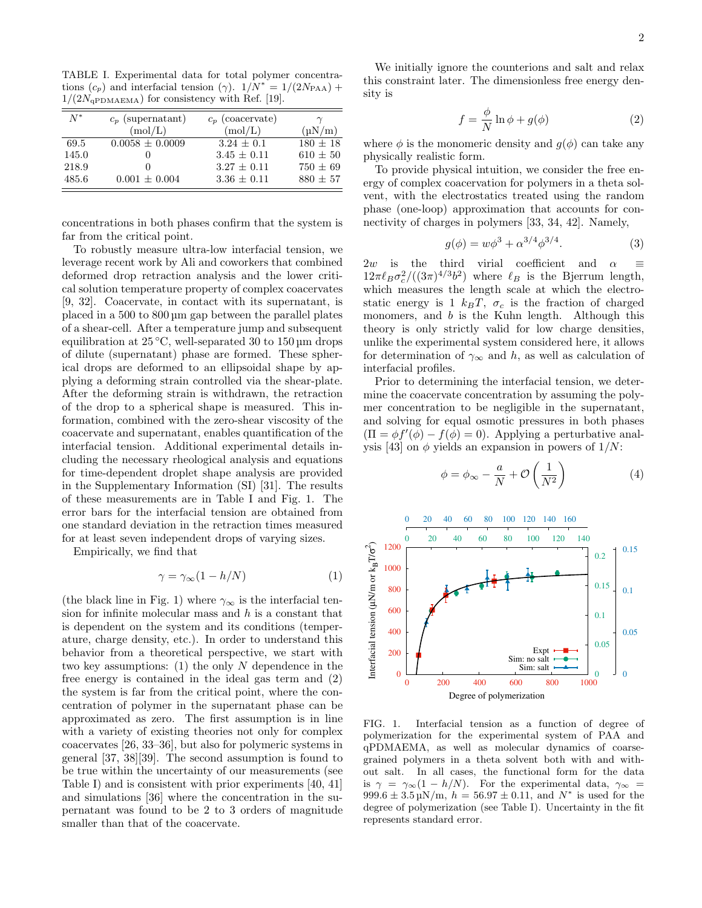TABLE I. Experimental data for total polymer concentrations  $(c_p)$  and interfacial tension  $(\gamma)$ .  $1/N^* = 1/(2N_{\text{PAA}}) +$  $1/(2N_{\rm qPDMAEMA})$  for consistency with Ref. [19].

| $N^*$ | $c_n$ (supernation) | $c_n$ (coacervate) |              |
|-------|---------------------|--------------------|--------------|
|       | (mol/L)             | (mol/L)            | $(\mu N/m)$  |
| 69.5  | $0.0058 \pm 0.0009$ | $3.24 \pm 0.1$     | $180 \pm 18$ |
| 145.0 |                     | $3.45 \pm 0.11$    | $610 \pm 50$ |
| 218.9 |                     | $3.27 + 0.11$      | $750 \pm 69$ |
| 485.6 | $0.001 \pm 0.004$   | $3.36 \pm 0.11$    | $880 \pm 57$ |

concentrations in both phases confirm that the system is far from the critical point.

To robustly measure ultra-low interfacial tension, we leverage recent work by Ali and coworkers that combined deformed drop retraction analysis and the lower critical solution temperature property of complex coacervates [9, 32]. Coacervate, in contact with its supernatant, is placed in a 500 to 800 µm gap between the parallel plates of a shear-cell. After a temperature jump and subsequent equilibration at  $25^{\circ}$ C, well-separated 30 to 150 µm drops of dilute (supernatant) phase are formed. These spherical drops are deformed to an ellipsoidal shape by applying a deforming strain controlled via the shear-plate. After the deforming strain is withdrawn, the retraction of the drop to a spherical shape is measured. This information, combined with the zero-shear viscosity of the coacervate and supernatant, enables quantification of the interfacial tension. Additional experimental details including the necessary rheological analysis and equations for time-dependent droplet shape analysis are provided in the Supplementary Information (SI) [31]. The results of these measurements are in Table I and Fig. 1. The error bars for the interfacial tension are obtained from one standard deviation in the retraction times measured for at least seven independent drops of varying sizes.

Empirically, we find that

$$
\gamma = \gamma_{\infty}(1 - h/N) \tag{1}
$$

(the black line in Fig. 1) where  $\gamma_{\infty}$  is the interfacial tension for infinite molecular mass and  $h$  is a constant that is dependent on the system and its conditions (temperature, charge density, etc.). In order to understand this behavior from a theoretical perspective, we start with two key assumptions: (1) the only  $N$  dependence in the free energy is contained in the ideal gas term and (2) the system is far from the critical point, where the concentration of polymer in the supernatant phase can be approximated as zero. The first assumption is in line with a variety of existing theories not only for complex coacervates [26, 33–36], but also for polymeric systems in general [37, 38][39]. The second assumption is found to be true within the uncertainty of our measurements (see Table I) and is consistent with prior experiments [40, 41] and simulations [36] where the concentration in the supernatant was found to be 2 to 3 orders of magnitude smaller than that of the coacervate.

We initially ignore the counterions and salt and relax this constraint later. The dimensionless free energy density is

$$
f = \frac{\phi}{N} \ln \phi + g(\phi) \tag{2}
$$

where  $\phi$  is the monomeric density and  $g(\phi)$  can take any physically realistic form.

To provide physical intuition, we consider the free energy of complex coacervation for polymers in a theta solvent, with the electrostatics treated using the random phase (one-loop) approximation that accounts for connectivity of charges in polymers [33, 34, 42]. Namely,

$$
g(\phi) = w\phi^3 + \alpha^{3/4}\phi^{3/4}.
$$
 (3)

 $2w$  is the third virial coefficient and  $\alpha \equiv$  $12\pi\ell_B\sigma_c^2/((3\pi)^{4/3}b^2)$  where  $\ell_B$  is the Bjerrum length, which measures the length scale at which the electrostatic energy is 1  $k_BT$ ,  $\sigma_c$  is the fraction of charged monomers, and  $b$  is the Kuhn length. Although this theory is only strictly valid for low charge densities, unlike the experimental system considered here, it allows for determination of  $\gamma_{\infty}$  and h, as well as calculation of interfacial profiles.

Prior to determining the interfacial tension, we determine the coacervate concentration by assuming the polymer concentration to be negligible in the supernatant, and solving for equal osmotic pressures in both phases  $(\Pi = \phi f'(\phi) - f(\phi) = 0)$ . Applying a perturbative analysis [43] on  $\phi$  yields an expansion in powers of  $1/N$ :

$$
\phi = \phi_{\infty} - \frac{a}{N} + \mathcal{O}\left(\frac{1}{N^2}\right) \tag{4}
$$



FIG. 1. Interfacial tension as a function of degree of polymerization for the experimental system of PAA and qPDMAEMA, as well as molecular dynamics of coarsegrained polymers in a theta solvent both with and without salt. In all cases, the functional form for the data is  $\gamma = \gamma_{\infty}(1 - h/N)$ . For the experimental data,  $\gamma_{\infty}$  $999.6 \pm 3.5 \,\text{\mu N/m}, h = 56.97 \pm 0.11, \text{ and } N^*$  is used for the degree of polymerization (see Table I). Uncertainty in the fit represents standard error.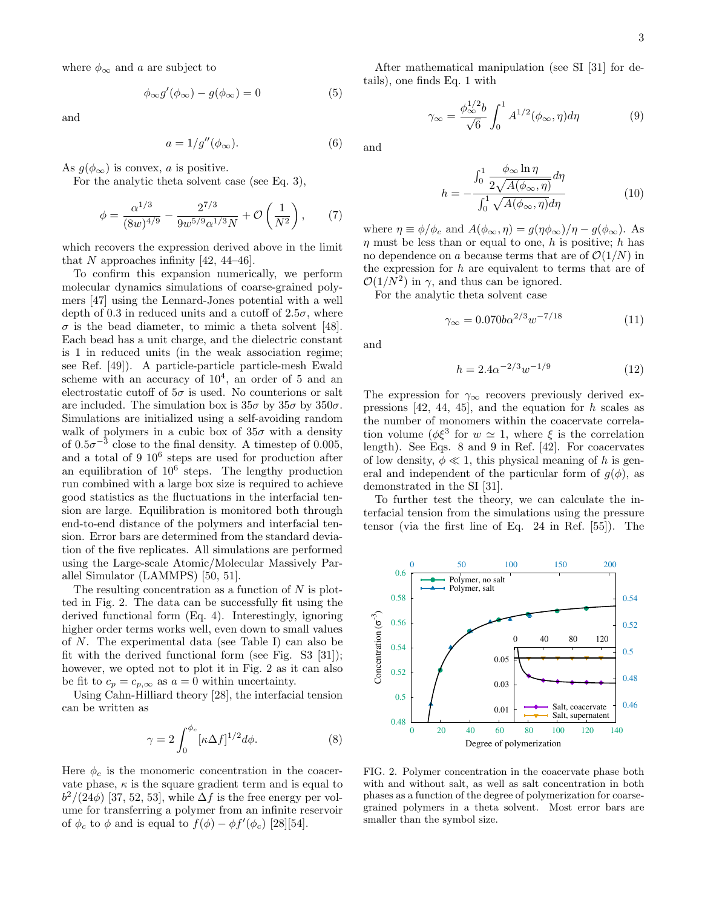where  $\phi_{\infty}$  and a are subject to

$$
\phi_{\infty}g'(\phi_{\infty}) - g(\phi_{\infty}) = 0 \tag{5}
$$

and

$$
a = 1/g''(\phi_{\infty}).\tag{6}
$$

As  $g(\phi_{\infty})$  is convex, a is positive.

For the analytic theta solvent case (see Eq. 3),

$$
\phi = \frac{\alpha^{1/3}}{(8w)^{4/9}} - \frac{2^{7/3}}{9w^{5/9}\alpha^{1/3}N} + \mathcal{O}\left(\frac{1}{N^2}\right),\tag{7}
$$

which recovers the expression derived above in the limit that  $N$  approaches infinity [42, 44-46].

To confirm this expansion numerically, we perform molecular dynamics simulations of coarse-grained polymers [47] using the Lennard-Jones potential with a well depth of 0.3 in reduced units and a cutoff of  $2.5\sigma$ , where  $\sigma$  is the bead diameter, to mimic a theta solvent [48]. Each bead has a unit charge, and the dielectric constant is 1 in reduced units (in the weak association regime; see Ref. [49]). A particle-particle particle-mesh Ewald scheme with an accuracy of  $10<sup>4</sup>$ , an order of 5 and an electrostatic cutoff of  $5\sigma$  is used. No counterions or salt are included. The simulation box is  $35\sigma$  by  $35\sigma$  by  $350\sigma$ . Simulations are initialized using a self-avoiding random walk of polymers in a cubic box of  $35\sigma$  with a density of  $0.5\sigma^{-3}$  close to the final density. A timestep of  $0.005$ , and a total of 9  $10^6$  steps are used for production after an equilibration of 10<sup>6</sup> steps. The lengthy production run combined with a large box size is required to achieve good statistics as the fluctuations in the interfacial tension are large. Equilibration is monitored both through end-to-end distance of the polymers and interfacial tension. Error bars are determined from the standard deviation of the five replicates. All simulations are performed using the Large-scale Atomic/Molecular Massively Parallel Simulator (LAMMPS) [50, 51].

The resulting concentration as a function of N is plotted in Fig. 2. The data can be successfully fit using the derived functional form (Eq. 4). Interestingly, ignoring higher order terms works well, even down to small values of N. The experimental data (see Table I) can also be fit with the derived functional form (see Fig. S3 [31]); however, we opted not to plot it in Fig. 2 as it can also be fit to  $c_p = c_{p,\infty}$  as  $a = 0$  within uncertainty.

Using Cahn-Hilliard theory [28], the interfacial tension can be written as

$$
\gamma = 2 \int_0^{\phi_c} [\kappa \Delta f]^{1/2} d\phi.
$$
 (8)

Here  $\phi_c$  is the monomeric concentration in the coacervate phase,  $\kappa$  is the square gradient term and is equal to  $b^2/(24\phi)$  [37, 52, 53], while  $\Delta f$  is the free energy per volume for transferring a polymer from an infinite reservoir of  $\phi_c$  to  $\phi$  and is equal to  $f(\phi) - \phi f'(\phi_c)$  [28][54].

After mathematical manipulation (see SI [31] for details), one finds Eq. 1 with

$$
\gamma_{\infty} = \frac{\phi_{\infty}^{1/2} b}{\sqrt{6}} \int_0^1 A^{1/2}(\phi_{\infty}, \eta) d\eta \tag{9}
$$

and

$$
h = -\frac{\int_0^1 \frac{\phi_\infty \ln \eta}{2\sqrt{A(\phi_\infty, \eta)}} d\eta}{\int_0^1 \sqrt{A(\phi_\infty, \eta)} d\eta}
$$
(10)

where  $\eta \equiv \phi/\phi_c$  and  $A(\phi_\infty, \eta) = g(\eta \phi_\infty)/\eta - g(\phi_\infty)$ . As  $\eta$  must be less than or equal to one, h is positive; h has no dependence on a because terms that are of  $\mathcal{O}(1/N)$  in the expression for  $h$  are equivalent to terms that are of  $\mathcal{O}(1/N^2)$  in  $\gamma$ , and thus can be ignored.

For the analytic theta solvent case

$$
\gamma_{\infty} = 0.070b\alpha^{2/3}w^{-7/18} \tag{11}
$$

and

$$
h = 2.4\alpha^{-2/3} w^{-1/9} \tag{12}
$$

The expression for  $\gamma_{\infty}$  recovers previously derived expressions  $[42, 44, 45]$ , and the equation for h scales as the number of monomers within the coacervate correlation volume  $(\phi \xi^3$  for  $w \simeq 1$ , where  $\xi$  is the correlation length). See Eqs. 8 and 9 in Ref. [42]. For coacervates of low density,  $\phi \ll 1$ , this physical meaning of h is general and independent of the particular form of  $g(\phi)$ , as demonstrated in the SI [31].

To further test the theory, we can calculate the interfacial tension from the simulations using the pressure tensor (via the first line of Eq. 24 in Ref. [55]). The



FIG. 2. Polymer concentration in the coacervate phase both with and without salt, as well as salt concentration in both phases as a function of the degree of polymerization for coarsegrained polymers in a theta solvent. Most error bars are smaller than the symbol size.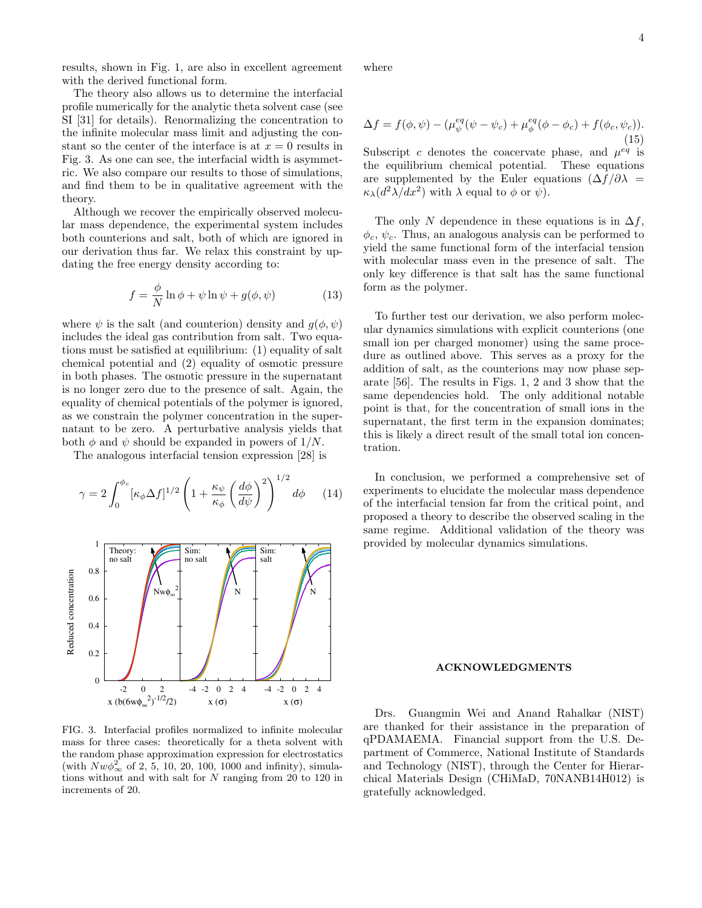results, shown in Fig. 1, are also in excellent agreement with the derived functional form.

The theory also allows us to determine the interfacial profile numerically for the analytic theta solvent case (see SI [31] for details). Renormalizing the concentration to the infinite molecular mass limit and adjusting the constant so the center of the interface is at  $x = 0$  results in Fig. 3. As one can see, the interfacial width is asymmetric. We also compare our results to those of simulations, and find them to be in qualitative agreement with the theory.

Although we recover the empirically observed molecular mass dependence, the experimental system includes both counterions and salt, both of which are ignored in our derivation thus far. We relax this constraint by updating the free energy density according to:

$$
f = \frac{\phi}{N} \ln \phi + \psi \ln \psi + g(\phi, \psi)
$$
 (13)

where  $\psi$  is the salt (and counterion) density and  $q(\phi, \psi)$ includes the ideal gas contribution from salt. Two equations must be satisfied at equilibrium: (1) equality of salt chemical potential and (2) equality of osmotic pressure in both phases. The osmotic pressure in the supernatant is no longer zero due to the presence of salt. Again, the equality of chemical potentials of the polymer is ignored, as we constrain the polymer concentration in the supernatant to be zero. A perturbative analysis yields that both  $\phi$  and  $\psi$  should be expanded in powers of  $1/N$ .

The analogous interfacial tension expression [28] is

$$
\gamma = 2 \int_0^{\phi_c} \left[ \kappa_\phi \Delta f \right]^{1/2} \left( 1 + \frac{\kappa_\psi}{\kappa_\phi} \left( \frac{d\phi}{d\psi} \right)^2 \right)^{1/2} d\phi \qquad (14)
$$



FIG. 3. Interfacial profiles normalized to infinite molecular mass for three cases: theoretically for a theta solvent with the random phase approximation expression for electrostatics (with  $Nw\phi_{\infty}^2$  of 2, 5, 10, 20, 100, 1000 and infinity), simulations without and with salt for N ranging from 20 to 120 in increments of 20.

where

$$
\Delta f = f(\phi, \psi) - (\mu_{\psi}^{eq}(\psi - \psi_c) + \mu_{\phi}^{eq}(\phi - \phi_c) + f(\phi_c, \psi_c)).
$$
\n(15)

Subscript c denotes the coacervate phase, and  $\mu^{eq}$  is the equilibrium chemical potential. These equations are supplemented by the Euler equations  $(\Delta f/\partial \lambda =$  $\kappa_{\lambda}(d^2\lambda/dx^2)$  with  $\lambda$  equal to  $\phi$  or  $\psi$ ).

The only N dependence in these equations is in  $\Delta f$ ,  $\phi_c, \psi_c$ . Thus, an analogous analysis can be performed to yield the same functional form of the interfacial tension with molecular mass even in the presence of salt. The only key difference is that salt has the same functional form as the polymer.

To further test our derivation, we also perform molecular dynamics simulations with explicit counterions (one small ion per charged monomer) using the same procedure as outlined above. This serves as a proxy for the addition of salt, as the counterions may now phase separate [56]. The results in Figs. 1, 2 and 3 show that the same dependencies hold. The only additional notable point is that, for the concentration of small ions in the supernatant, the first term in the expansion dominates; this is likely a direct result of the small total ion concentration.

In conclusion, we performed a comprehensive set of experiments to elucidate the molecular mass dependence of the interfacial tension far from the critical point, and proposed a theory to describe the observed scaling in the same regime. Additional validation of the theory was provided by molecular dynamics simulations.

## ACKNOWLEDGMENTS

Drs. Guangmin Wei and Anand Rahalkar (NIST) are thanked for their assistance in the preparation of qPDAMAEMA. Financial support from the U.S. Department of Commerce, National Institute of Standards and Technology (NIST), through the Center for Hierarchical Materials Design (CHiMaD, 70NANB14H012) is gratefully acknowledged.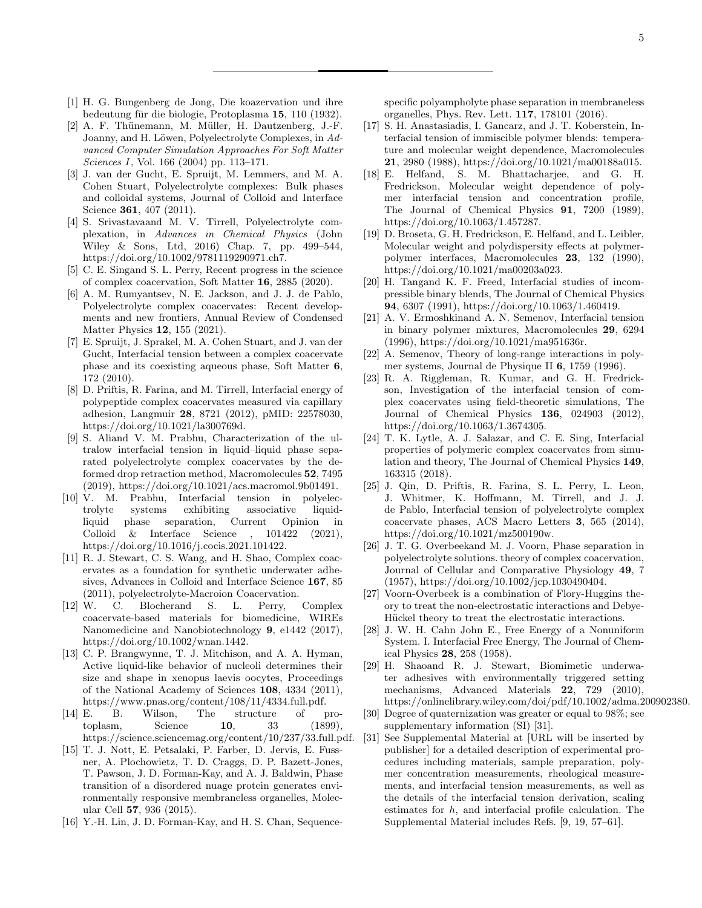- [1] H. G. Bungenberg de Jong, Die koazervation und ihre bedeutung für die biologie, Protoplasma 15, 110 (1932).
- [2] A. F. Thünemann, M. Müller, H. Dautzenberg, J.-F. Joanny, and H. Löwen, Polyelectrolyte Complexes, in Advanced Computer Simulation Approaches For Soft Matter Sciences I, Vol. 166 (2004) pp. 113–171.
- [3] J. van der Gucht, E. Spruijt, M. Lemmers, and M. A. Cohen Stuart, Polyelectrolyte complexes: Bulk phases and colloidal systems, Journal of Colloid and Interface Science 361, 407 (2011).
- [4] S. Srivastavaand M. V. Tirrell, Polyelectrolyte complexation, in Advances in Chemical Physics (John Wiley & Sons, Ltd, 2016) Chap. 7, pp. 499–544, https://doi.org/10.1002/9781119290971.ch7.
- [5] C. E. Singand S. L. Perry, Recent progress in the science of complex coacervation, Soft Matter 16, 2885 (2020).
- [6] A. M. Rumyantsev, N. E. Jackson, and J. J. de Pablo, Polyelectrolyte complex coacervates: Recent developments and new frontiers, Annual Review of Condensed Matter Physics 12, 155 (2021).
- [7] E. Spruijt, J. Sprakel, M. A. Cohen Stuart, and J. van der Gucht, Interfacial tension between a complex coacervate phase and its coexisting aqueous phase, Soft Matter 6, 172 (2010).
- [8] D. Priftis, R. Farina, and M. Tirrell, Interfacial energy of polypeptide complex coacervates measured via capillary adhesion, Langmuir 28, 8721 (2012), pMID: 22578030, https://doi.org/10.1021/la300769d.
- [9] S. Aliand V. M. Prabhu, Characterization of the ultralow interfacial tension in liquid–liquid phase separated polyelectrolyte complex coacervates by the deformed drop retraction method, Macromolecules 52, 7495 (2019), https://doi.org/10.1021/acs.macromol.9b01491.
- [10] V. M. Prabhu, Interfacial tension in polyelectrolyte systems exhibiting associative liquidliquid phase separation, Current Opinion in Colloid & Interface Science , 101422 (2021), https://doi.org/10.1016/j.cocis.2021.101422.
- [11] R. J. Stewart, C. S. Wang, and H. Shao, Complex coacervates as a foundation for synthetic underwater adhesives, Advances in Colloid and Interface Science 167, 85 (2011), polyelectrolyte-Macroion Coacervation.
- [12] W. C. Blocherand S. L. Perry, Complex coacervate-based materials for biomedicine, WIREs Nanomedicine and Nanobiotechnology 9, e1442 (2017), https://doi.org/10.1002/wnan.1442.
- [13] C. P. Brangwynne, T. J. Mitchison, and A. A. Hyman, Active liquid-like behavior of nucleoli determines their size and shape in xenopus laevis oocytes, Proceedings of the National Academy of Sciences 108, 4334 (2011), https://www.pnas.org/content/108/11/4334.full.pdf.
- [14] E. B. Wilson, The structure of protoplasm, Science **10**, 33 (1899), https://science.sciencemag.org/content/10/237/33.full.pdf.
- [15] T. J. Nott, E. Petsalaki, P. Farber, D. Jervis, E. Fussner, A. Plochowietz, T. D. Craggs, D. P. Bazett-Jones, T. Pawson, J. D. Forman-Kay, and A. J. Baldwin, Phase transition of a disordered nuage protein generates environmentally responsive membraneless organelles, Molecular Cell 57, 936 (2015).
- [16] Y.-H. Lin, J. D. Forman-Kay, and H. S. Chan, Sequence-

specific polyampholyte phase separation in membraneless organelles, Phys. Rev. Lett. 117, 178101 (2016).

- [17] S. H. Anastasiadis, I. Gancarz, and J. T. Koberstein, Interfacial tension of immiscible polymer blends: temperature and molecular weight dependence, Macromolecules 21, 2980 (1988), https://doi.org/10.1021/ma00188a015.
- [18] E. Helfand, S. M. Bhattacharjee, and G. H. Fredrickson, Molecular weight dependence of polymer interfacial tension and concentration profile, The Journal of Chemical Physics 91, 7200 (1989), https://doi.org/10.1063/1.457287.
- [19] D. Broseta, G. H. Fredrickson, E. Helfand, and L. Leibler, Molecular weight and polydispersity effects at polymerpolymer interfaces, Macromolecules 23, 132 (1990), https://doi.org/10.1021/ma00203a023.
- [20] H. Tangand K. F. Freed, Interfacial studies of incompressible binary blends, The Journal of Chemical Physics 94, 6307 (1991), https://doi.org/10.1063/1.460419.
- [21] A. V. Ermoshkinand A. N. Semenov, Interfacial tension in binary polymer mixtures, Macromolecules 29, 6294 (1996), https://doi.org/10.1021/ma951636r.
- [22] A. Semenov, Theory of long-range interactions in polymer systems, Journal de Physique II 6, 1759 (1996).
- [23] R. A. Riggleman, R. Kumar, and G. H. Fredrickson, Investigation of the interfacial tension of complex coacervates using field-theoretic simulations, The Journal of Chemical Physics 136, 024903 (2012), https://doi.org/10.1063/1.3674305.
- [24] T. K. Lytle, A. J. Salazar, and C. E. Sing, Interfacial properties of polymeric complex coacervates from simulation and theory, The Journal of Chemical Physics 149, 163315 (2018).
- [25] J. Qin, D. Priftis, R. Farina, S. L. Perry, L. Leon, J. Whitmer, K. Hoffmann, M. Tirrell, and J. J. de Pablo, Interfacial tension of polyelectrolyte complex coacervate phases, ACS Macro Letters 3, 565 (2014), https://doi.org/10.1021/mz500190w.
- [26] J. T. G. Overbeekand M. J. Voorn, Phase separation in polyelectrolyte solutions. theory of complex coacervation, Journal of Cellular and Comparative Physiology 49, 7 (1957), https://doi.org/10.1002/jcp.1030490404.
- [27] Voorn-Overbeek is a combination of Flory-Huggins theory to treat the non-electrostatic interactions and Debye-Hückel theory to treat the electrostatic interactions.
- [28] J. W. H. Cahn John E., Free Energy of a Nonuniform System. I. Interfacial Free Energy, The Journal of Chemical Physics 28, 258 (1958).
- [29] H. Shaoand R. J. Stewart, Biomimetic underwater adhesives with environmentally triggered setting mechanisms, Advanced Materials 22, 729 (2010), https://onlinelibrary.wiley.com/doi/pdf/10.1002/adma.200902380.
- [30] Degree of quaternization was greater or equal to 98%; see supplementary information (SI) [31].
- [31] See Supplemental Material at [URL will be inserted by publisher] for a detailed description of experimental procedures including materials, sample preparation, polymer concentration measurements, rheological measurements, and interfacial tension measurements, as well as the details of the interfacial tension derivation, scaling estimates for h, and interfacial profile calculation. The Supplemental Material includes Refs. [9, 19, 57–61].